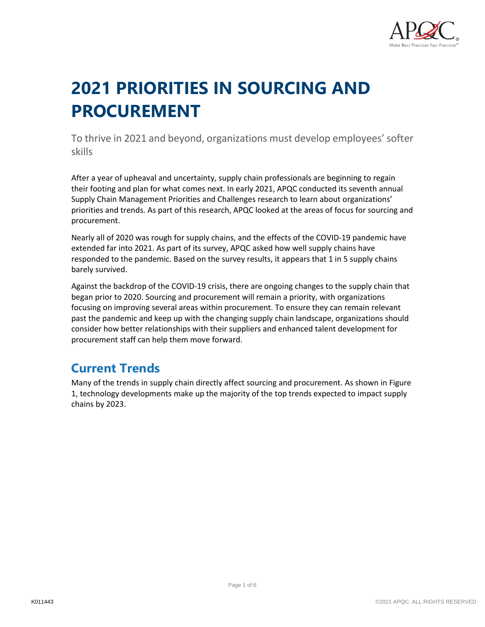

# **2021 PRIORITIES IN SOURCING AND PROCUREMENT**

To thrive in 2021 and beyond, organizations must develop employees' softer skills

After a year of upheaval and uncertainty, supply chain professionals are beginning to regain their footing and plan for what comes next. In early 2021, APQC conducted its seventh annual Supply Chain Management Priorities and Challenges research to learn about organizations' priorities and trends. As part of this research, APQC looked at the areas of focus for sourcing and procurement.

Nearly all of 2020 was rough for supply chains, and the effects of the COVID-19 pandemic have extended far into 2021. As part of its survey, APQC asked how well supply chains have responded to the pandemic. Based on the survey results, it appears that 1 in 5 supply chains barely survived.

Against the backdrop of the COVID-19 crisis, there are ongoing changes to the supply chain that began prior to 2020. Sourcing and procurement will remain a priority, with organizations focusing on improving several areas within procurement. To ensure they can remain relevant past the pandemic and keep up with the changing supply chain landscape, organizations should consider how better relationships with their suppliers and enhanced talent development for procurement staff can help them move forward.

### **Current Trends**

Many of the trends in supply chain directly affect sourcing and procurement. As shown in Figure 1, technology developments make up the majority of the top trends expected to impact supply chains by 2023.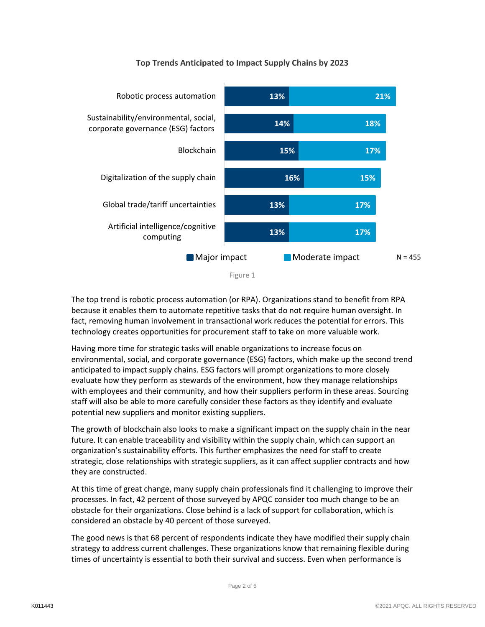

#### **Top Trends Anticipated to Impact Supply Chains by 2023**

The top trend is robotic process automation (or RPA). Organizations stand to benefit from RPA because it enables them to automate repetitive tasks that do not require human oversight. In fact, removing human involvement in transactional work reduces the potential for errors. This technology creates opportunities for procurement staff to take on more valuable work.

Having more time for strategic tasks will enable organizations to increase focus on environmental, social, and corporate governance (ESG) factors, which make up the second trend anticipated to impact supply chains. ESG factors will prompt organizations to more closely evaluate how they perform as stewards of the environment, how they manage relationships with employees and their community, and how their suppliers perform in these areas. Sourcing staff will also be able to more carefully consider these factors as they identify and evaluate potential new suppliers and monitor existing suppliers.

The growth of blockchain also looks to make a significant impact on the supply chain in the near future. It can enable traceability and visibility within the supply chain, which can support an organization's sustainability efforts. This further emphasizes the need for staff to create strategic, close relationships with strategic suppliers, as it can affect supplier contracts and how they are constructed.

At this time of great change, many supply chain professionals find it challenging to improve their processes. In fact, 42 percent of those surveyed by APQC consider too much change to be an obstacle for their organizations. Close behind is a lack of support for collaboration, which is considered an obstacle by 40 percent of those surveyed.

The good news is that 68 percent of respondents indicate they have modified their supply chain strategy to address current challenges. These organizations know that remaining flexible during times of uncertainty is essential to both their survival and success. Even when performance is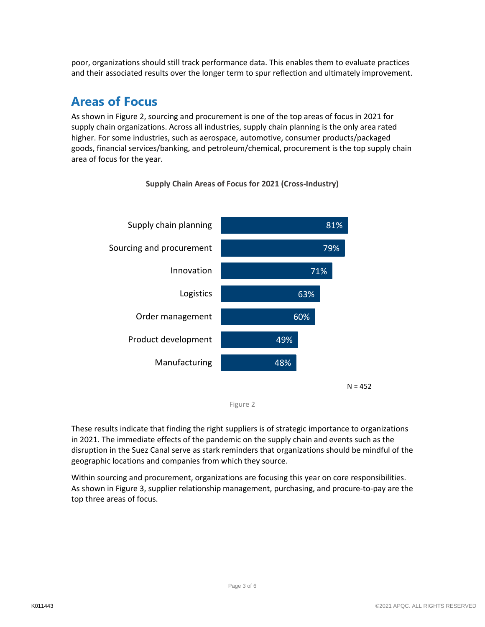poor, organizations should still track performance data. This enables them to evaluate practices and their associated results over the longer term to spur reflection and ultimately improvement.

### **Areas of Focus**

As shown in Figure 2, sourcing and procurement is one of the top areas of focus in 2021 for supply chain organizations. Across all industries, supply chain planning is the only area rated higher. For some industries, such as aerospace, automotive, consumer products/packaged goods, financial services/banking, and petroleum/chemical, procurement is the top supply chain area of focus for the year.



**Supply Chain Areas of Focus for 2021 (Cross-Industry)**

These results indicate that finding the right suppliers is of strategic importance to organizations in 2021. The immediate effects of the pandemic on the supply chain and events such as the disruption in the Suez Canal serve as stark reminders that organizations should be mindful of the geographic locations and companies from which they source.

Within sourcing and procurement, organizations are focusing this year on core responsibilities. As shown in Figure 3, supplier relationship management, purchasing, and procure-to-pay are the top three areas of focus.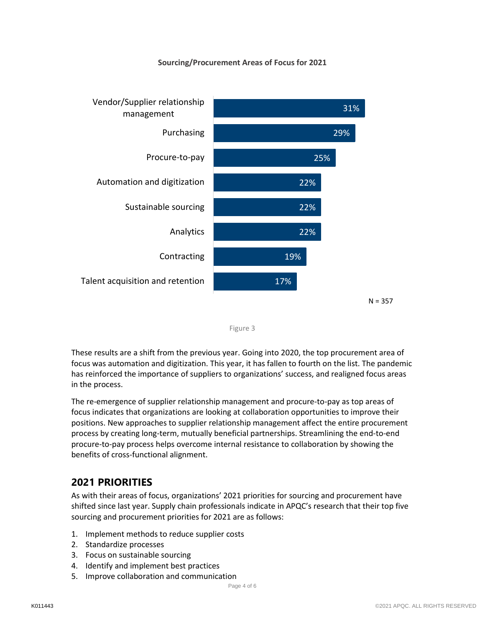#### **Sourcing/Procurement Areas of Focus for 2021**





These results are a shift from the previous year. Going into 2020, the top procurement area of focus was automation and digitization. This year, it has fallen to fourth on the list. The pandemic has reinforced the importance of suppliers to organizations' success, and realigned focus areas in the process.

The re-emergence of supplier relationship management and procure-to-pay as top areas of focus indicates that organizations are looking at collaboration opportunities to improve their positions. New approaches to supplier relationship management affect the entire procurement process by creating long-term, mutually beneficial partnerships. Streamlining the end-to-end procure-to-pay process helps overcome internal resistance to collaboration by showing the benefits of cross-functional alignment.

### **2021 PRIORITIES**

As with their areas of focus, organizations' 2021 priorities for sourcing and procurement have shifted since last year. Supply chain professionals indicate in APQC's research that their top five sourcing and procurement priorities for 2021 are as follows:

- 1. Implement methods to reduce supplier costs
- 2. Standardize processes
- 3. Focus on sustainable sourcing
- 4. Identify and implement best practices
- 5. Improve collaboration and communication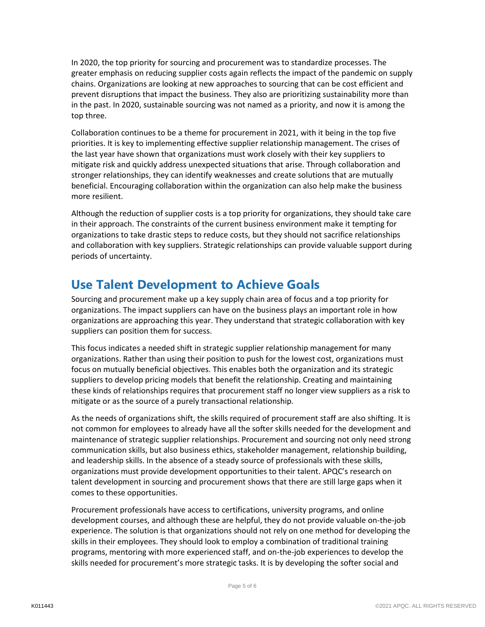In 2020, the top priority for sourcing and procurement was to standardize processes. The greater emphasis on reducing supplier costs again reflects the impact of the pandemic on supply chains. Organizations are looking at new approaches to sourcing that can be cost efficient and prevent disruptions that impact the business. They also are prioritizing sustainability more than in the past. In 2020, sustainable sourcing was not named as a priority, and now it is among the top three.

Collaboration continues to be a theme for procurement in 2021, with it being in the top five priorities. It is key to implementing effective supplier relationship management. The crises of the last year have shown that organizations must work closely with their key suppliers to mitigate risk and quickly address unexpected situations that arise. Through collaboration and stronger relationships, they can identify weaknesses and create solutions that are mutually beneficial. Encouraging collaboration within the organization can also help make the business more resilient.

Although the reduction of supplier costs is a top priority for organizations, they should take care in their approach. The constraints of the current business environment make it tempting for organizations to take drastic steps to reduce costs, but they should not sacrifice relationships and collaboration with key suppliers. Strategic relationships can provide valuable support during periods of uncertainty.

## **Use Talent Development to Achieve Goals**

Sourcing and procurement make up a key supply chain area of focus and a top priority for organizations. The impact suppliers can have on the business plays an important role in how organizations are approaching this year. They understand that strategic collaboration with key suppliers can position them for success.

This focus indicates a needed shift in strategic supplier relationship management for many organizations. Rather than using their position to push for the lowest cost, organizations must focus on mutually beneficial objectives. This enables both the organization and its strategic suppliers to develop pricing models that benefit the relationship. Creating and maintaining these kinds of relationships requires that procurement staff no longer view suppliers as a risk to mitigate or as the source of a purely transactional relationship.

As the needs of organizations shift, the skills required of procurement staff are also shifting. It is not common for employees to already have all the softer skills needed for the development and maintenance of strategic supplier relationships. Procurement and sourcing not only need strong communication skills, but also business ethics, stakeholder management, relationship building, and leadership skills. In the absence of a steady source of professionals with these skills, organizations must provide development opportunities to their talent. APQC's research on talent development in sourcing and procurement shows that there are still large gaps when it comes to these opportunities.

Procurement professionals have access to certifications, university programs, and online development courses, and although these are helpful, they do not provide valuable on-the-job experience. The solution is that organizations should not rely on one method for developing the skills in their employees. They should look to employ a combination of traditional training programs, mentoring with more experienced staff, and on-the-job experiences to develop the skills needed for procurement's more strategic tasks. It is by developing the softer social and